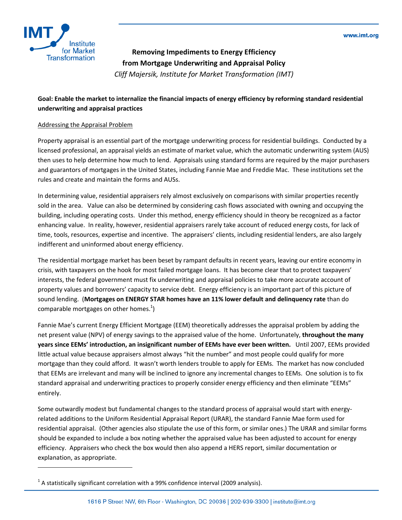

-

**Removing Impediments to Energy Efficiency from Mortgage Underwriting and Appraisal Policy**  *Cliff Majersik, Institute for Market Transformation (IMT)* 

## **Goal: Enable the market to internalize the financial impacts of energy efficiency by reforming standard residential underwriting and appraisal practices**

## Addressing the Appraisal Problem

Property appraisal is an essential part of the mortgage underwriting process for residential buildings. Conducted by a licensed professional, an appraisal yields an estimate of market value, which the automatic underwriting system (AUS) then uses to help determine how much to lend. Appraisals using standard forms are required by the major purchasers and guarantors of mortgages in the United States, including Fannie Mae and Freddie Mac. These institutions set the rules and create and maintain the forms and AUSs.

In determining value, residential appraisers rely almost exclusively on comparisons with similar properties recently sold in the area. Value can also be determined by considering cash flows associated with owning and occupying the building, including operating costs. Under this method, energy efficiency should in theory be recognized as a factor enhancing value. In reality, however, residential appraisers rarely take account of reduced energy costs, for lack of time, tools, resources, expertise and incentive. The appraisers' clients, including residential lenders, are also largely indifferent and uninformed about energy efficiency.

The residential mortgage market has been beset by rampant defaults in recent years, leaving our entire economy in crisis, with taxpayers on the hook for most failed mortgage loans. It has become clear that to protect taxpayers' interests, the federal government must fix underwriting and appraisal policies to take more accurate account of property values and borrowers' capacity to service debt. Energy efficiency is an important part of this picture of sound lending. (**Mortgages on ENERGY STAR homes have an 11% lower default and delinquency rate** than do comparable mortgages on other homes. $^{1}$ )

Fannie Mae's current Energy Efficient Mortgage (EEM) theoretically addresses the appraisal problem by adding the net present value (NPV) of energy savings to the appraised value of the home. Unfortunately, **throughout the many years since EEMs' introduction, an insignificant number of EEMs have ever been written.** Until 2007, EEMs provided little actual value because appraisers almost always "hit the number" and most people could qualify for more mortgage than they could afford. It wasn't worth lenders trouble to apply for EEMs. The market has now concluded that EEMs are irrelevant and many will be inclined to ignore any incremental changes to EEMs. One solution is to fix standard appraisal and underwriting practices to properly consider energy efficiency and then eliminate "EEMs" entirely.

Some outwardly modest but fundamental changes to the standard process of appraisal would start with energyrelated additions to the Uniform Residential Appraisal Report (URAR), the standard Fannie Mae form used for residential appraisal. (Other agencies also stipulate the use of this form, or similar ones.) The URAR and similar forms should be expanded to include a box noting whether the appraised value has been adjusted to account for energy efficiency. Appraisers who check the box would then also append a HERS report, similar documentation or explanation, as appropriate.

 $^1$  A statistically significant correlation with a 99% confidence interval (2009 analysis).